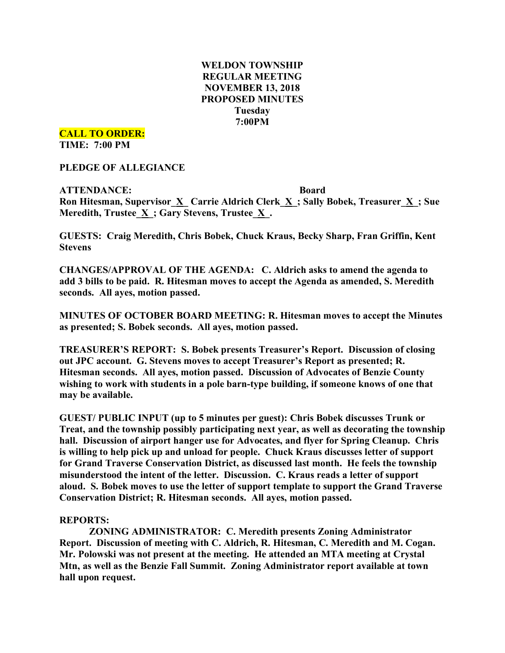# **WELDON TOWNSHIP REGULAR MEETING NOVEMBER 13, 2018 PROPOSED MINUTES Tuesday 7:00PM**

**CALL TO ORDER:**

**TIME: 7:00 PM**

**PLEDGE OF ALLEGIANCE**

**ATTENDANCE: Board Ron Hitesman, Supervisor**  $\underline{X}$  **<b>Carrie** Aldrich Clerk  $\underline{X}$ ; Sally Bobek, Treasurer  $\underline{X}$ ; Sue **Meredith, Trustee**  $\underline{X}$ **; Gary Stevens, Trustee**  $\underline{X}$ **.** 

**GUESTS: Craig Meredith, Chris Bobek, Chuck Kraus, Becky Sharp, Fran Griffin, Kent Stevens**

**CHANGES/APPROVAL OF THE AGENDA: C. Aldrich asks to amend the agenda to add 3 bills to be paid. R. Hitesman moves to accept the Agenda as amended, S. Meredith seconds. All ayes, motion passed.**

**MINUTES OF OCTOBER BOARD MEETING: R. Hitesman moves to accept the Minutes as presented; S. Bobek seconds. All ayes, motion passed.**

**TREASURER'S REPORT: S. Bobek presents Treasurer's Report. Discussion of closing out JPC account. G. Stevens moves to accept Treasurer's Report as presented; R. Hitesman seconds. All ayes, motion passed. Discussion of Advocates of Benzie County wishing to work with students in a pole barn-type building, if someone knows of one that may be available.**

**GUEST/ PUBLIC INPUT (up to 5 minutes per guest): Chris Bobek discusses Trunk or Treat, and the township possibly participating next year, as well as decorating the township hall. Discussion of airport hanger use for Advocates, and flyer for Spring Cleanup. Chris is willing to help pick up and unload for people. Chuck Kraus discusses letter of support for Grand Traverse Conservation District, as discussed last month. He feels the township misunderstood the intent of the letter. Discussion. C. Kraus reads a letter of support aloud. S. Bobek moves to use the letter of support template to support the Grand Traverse Conservation District; R. Hitesman seconds. All ayes, motion passed.**

### **REPORTS:**

**ZONING ADMINISTRATOR: C. Meredith presents Zoning Administrator Report. Discussion of meeting with C. Aldrich, R. Hitesman, C. Meredith and M. Cogan. Mr. Polowski was not present at the meeting. He attended an MTA meeting at Crystal Mtn, as well as the Benzie Fall Summit. Zoning Administrator report available at town hall upon request.**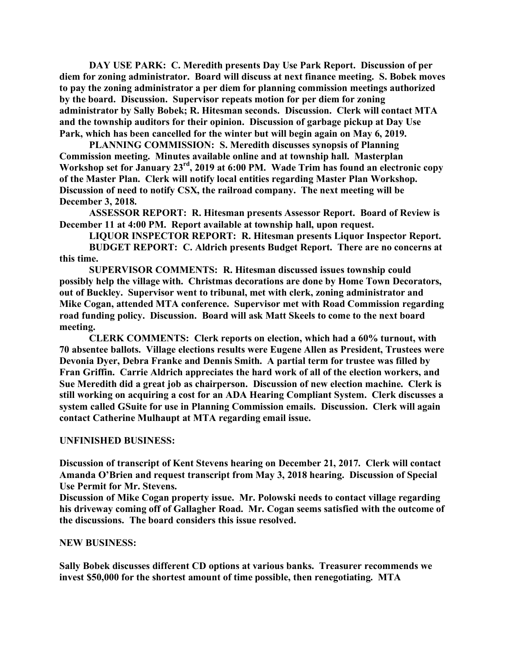**DAY USE PARK: C. Meredith presents Day Use Park Report. Discussion of per diem for zoning administrator. Board will discuss at next finance meeting. S. Bobek moves to pay the zoning administrator a per diem for planning commission meetings authorized by the board. Discussion. Supervisor repeats motion for per diem for zoning administrator by Sally Bobek; R. Hitesman seconds. Discussion. Clerk will contact MTA and the township auditors for their opinion. Discussion of garbage pickup at Day Use Park, which has been cancelled for the winter but will begin again on May 6, 2019.**

**PLANNING COMMISSION: S. Meredith discusses synopsis of Planning Commission meeting. Minutes available online and at township hall. Masterplan Workshop set for January 23rd , 2019 at 6:00 PM. Wade Trim has found an electronic copy of the Master Plan. Clerk will notify local entities regarding Master Plan Workshop. Discussion of need to notify CSX, the railroad company. The next meeting will be December 3, 2018.**

**ASSESSOR REPORT: R. Hitesman presents Assessor Report. Board of Review is December 11 at 4:00 PM. Report available at township hall, upon request.**

**LIQUOR INSPECTOR REPORT: R. Hitesman presents Liquor Inspector Report.**

**BUDGET REPORT: C. Aldrich presents Budget Report. There are no concerns at this time.**

**SUPERVISOR COMMENTS: R. Hitesman discussed issues township could possibly help the village with. Christmas decorations are done by Home Town Decorators, out of Buckley. Supervisor went to tribunal, met with clerk, zoning administrator and Mike Cogan, attended MTA conference. Supervisor met with Road Commission regarding road funding policy. Discussion. Board will ask Matt Skeels to come to the next board meeting.**

**CLERK COMMENTS: Clerk reports on election, which had a 60% turnout, with 70 absentee ballots. Village elections results were Eugene Allen as President, Trustees were Devonia Dyer, Debra Franke and Dennis Smith. A partial term for trustee was filled by Fran Griffin. Carrie Aldrich appreciates the hard work of all of the election workers, and Sue Meredith did a great job as chairperson. Discussion of new election machine. Clerk is still working on acquiring a cost for an ADA Hearing Compliant System. Clerk discusses a system called GSuite for use in Planning Commission emails. Discussion. Clerk will again contact Catherine Mulhaupt at MTA regarding email issue.**

### **UNFINISHED BUSINESS:**

**Discussion of transcript of Kent Stevens hearing on December 21, 2017. Clerk will contact Amanda O'Brien and request transcript from May 3, 2018 hearing. Discussion of Special Use Permit for Mr. Stevens.**

**Discussion of Mike Cogan property issue. Mr. Polowski needs to contact village regarding his driveway coming off of Gallagher Road. Mr. Cogan seems satisfied with the outcome of the discussions. The board considers this issue resolved.**

### **NEW BUSINESS:**

**Sally Bobek discusses different CD options at various banks. Treasurer recommends we invest \$50,000 for the shortest amount of time possible, then renegotiating. MTA**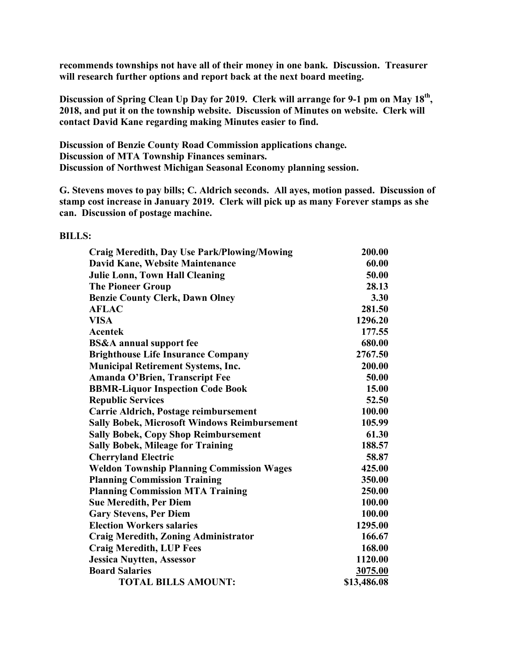**recommends townships not have all of their money in one bank. Discussion. Treasurer will research further options and report back at the next board meeting.**

**Discussion of Spring Clean Up Day for 2019. Clerk will arrange for 9-1 pm on May 18th, 2018, and put it on the township website. Discussion of Minutes on website. Clerk will contact David Kane regarding making Minutes easier to find.**

**Discussion of Benzie County Road Commission applications change. Discussion of MTA Township Finances seminars. Discussion of Northwest Michigan Seasonal Economy planning session.**

**G. Stevens moves to pay bills; C. Aldrich seconds. All ayes, motion passed. Discussion of stamp cost increase in January 2019. Clerk will pick up as many Forever stamps as she can. Discussion of postage machine.**

#### **BILLS:**

| <b>Craig Meredith, Day Use Park/Plowing/Mowing</b>  | 200.00      |
|-----------------------------------------------------|-------------|
| David Kane, Website Maintenance                     | 60.00       |
| <b>Julie Lonn, Town Hall Cleaning</b>               | 50.00       |
| <b>The Pioneer Group</b>                            | 28.13       |
| <b>Benzie County Clerk, Dawn Olney</b>              | 3.30        |
| <b>AFLAC</b>                                        | 281.50      |
| <b>VISA</b>                                         | 1296.20     |
| Acentek                                             | 177.55      |
| <b>BS&amp;A</b> annual support fee                  | 680.00      |
| <b>Brighthouse Life Insurance Company</b>           | 2767.50     |
| <b>Municipal Retirement Systems, Inc.</b>           | 200.00      |
| Amanda O'Brien, Transcript Fee                      | 50.00       |
| <b>BBMR-Liquor Inspection Code Book</b>             | 15.00       |
| <b>Republic Services</b>                            | 52.50       |
| Carrie Aldrich, Postage reimbursement               | 100.00      |
| <b>Sally Bobek, Microsoft Windows Reimbursement</b> | 105.99      |
| <b>Sally Bobek, Copy Shop Reimbursement</b>         | 61.30       |
| <b>Sally Bobek, Mileage for Training</b>            | 188.57      |
| <b>Cherryland Electric</b>                          | 58.87       |
| <b>Weldon Township Planning Commission Wages</b>    | 425.00      |
| <b>Planning Commission Training</b>                 | 350.00      |
| <b>Planning Commission MTA Training</b>             | 250.00      |
| <b>Sue Meredith, Per Diem</b>                       | 100.00      |
| <b>Gary Stevens, Per Diem</b>                       | 100.00      |
| <b>Election Workers salaries</b>                    | 1295.00     |
| <b>Craig Meredith, Zoning Administrator</b>         | 166.67      |
| <b>Craig Meredith, LUP Fees</b>                     | 168.00      |
| <b>Jessica Nuytten, Assessor</b>                    | 1120.00     |
| <b>Board Salaries</b>                               | 3075.00     |
| <b>TOTAL BILLS AMOUNT:</b>                          | \$13,486.08 |